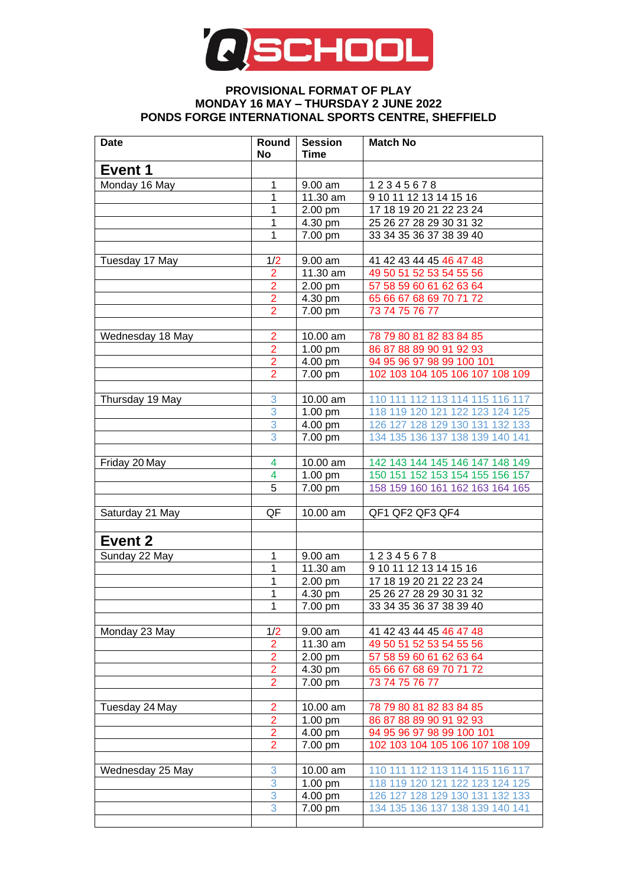

## **PROVISIONAL FORMAT OF PLAY MONDAY 16 MAY – THURSDAY 2 JUNE 2022 PONDS FORGE INTERNATIONAL SPORTS CENTRE, SHEFFIELD**

| <b>Date</b>      | Round<br>No         | <b>Session</b><br>Time | <b>Match No</b>                                                    |
|------------------|---------------------|------------------------|--------------------------------------------------------------------|
| Event 1          |                     |                        |                                                                    |
| Monday 16 May    | 1                   | 9.00 am                | 12345678                                                           |
|                  | 1                   | 11.30 am               | 9 10 11 12 13 14 15 16                                             |
|                  | 1                   | 2.00 pm                | 17 18 19 20 21 22 23 24                                            |
|                  | 1                   | 4.30 pm                | 25 26 27 28 29 30 31 32                                            |
|                  | 1                   | 7.00 pm                | 33 34 35 36 37 38 39 40                                            |
|                  |                     |                        |                                                                    |
| Tuesday 17 May   | 1/2                 | 9.00 am                | 41 42 43 44 45 46 47 48                                            |
|                  | 2                   | 11.30 am               | 49 50 51 52 53 54 55 56                                            |
|                  | 2                   | 2.00 pm                | 57 58 59 60 61 62 63 64                                            |
|                  | $\overline{2}$      | 4.30 pm                | 65 66 67 68 69 70 71 72                                            |
|                  | $\overline{2}$      | 7.00 pm                | 73 74 75 76 77                                                     |
|                  |                     |                        |                                                                    |
| Wednesday 18 May | 2                   | 10.00 am               | 78 79 80 81 82 83 84 85                                            |
|                  | 2                   | 1.00 pm                | 86 87 88 89 90 91 92 93                                            |
|                  | $\overline{2}$      | 4.00 pm                | 94 95 96 97 98 99 100 101                                          |
|                  | $\overline{2}$      | 7.00 pm                | 102 103 104 105 106 107 108 109                                    |
|                  |                     |                        |                                                                    |
| Thursday 19 May  | 3                   | 10.00 am               | 110 111 112 113 114 115 116 117                                    |
|                  | 3                   | $1.00$ pm              | 118 119 120 121 122 123 124 125                                    |
|                  | 3                   | 4.00 pm                | 126 127 128 129 130 131 132 133                                    |
|                  | 3                   | 7.00 pm                | 134 135 136 137 138 139 140 141                                    |
|                  |                     |                        |                                                                    |
| Friday 20 May    | 4<br>4              | 10.00 am               | 142 143 144 145 146 147 148 149<br>150 151 152 153 154 155 156 157 |
|                  | 5                   | $1.00$ pm              |                                                                    |
|                  |                     | 7.00 pm                | 158 159 160 161 162 163 164 165                                    |
| Saturday 21 May  | QF                  | 10.00 am               | QF1 QF2 QF3 QF4                                                    |
|                  |                     |                        |                                                                    |
| Event 2          |                     |                        |                                                                    |
| Sunday 22 May    | 1                   | 9.00 am                | 12345678                                                           |
|                  | 1                   | $\overline{11}$ .30 am | 9 10 11 12 13 14 15 16                                             |
|                  | 1                   | 2.00 pm                | 17 18 19 20 21 22 23 24                                            |
|                  | 1                   | 4.30 pm                | 25 26 27 28 29 30 31 32                                            |
|                  | $\mathbf{1}$        | $7.00 \text{ pm}$      | 33 34 35 36 37 38 39 40                                            |
|                  |                     |                        |                                                                    |
| Monday 23 May    | 1/2                 | 9.00 am                | 41 42 43 44 45 46 47 48                                            |
|                  | $\overline{2}$      | 11.30 am               | 49 50 51 52 53 54 55 56                                            |
|                  | $\overline{2}$      | 2.00 pm                | 57 58 59 60 61 62 63 64                                            |
|                  | $\overline{2}$      | 4.30 pm                | 65 66 67 68 69 70 71 72                                            |
|                  | $\overline{2}$      | 7.00 pm                | 73 74 75 76 77                                                     |
|                  |                     |                        |                                                                    |
| Tuesday 24 May   | $\overline{2}$      | 10.00 am               | 78 79 80 81 82 83 84 85                                            |
|                  | $\overline{2}$      | $1.00 \text{ pm}$      | 86 87 88 89 90 91 92 93                                            |
|                  | $\overline{2}$      | 4.00 pm                | 94 95 96 97 98 99 100 101                                          |
|                  | $\overline{2}$      | 7.00 pm                | 102 103 104 105 106 107 108 109                                    |
|                  |                     |                        |                                                                    |
| Wednesday 25 May | 3                   | 10.00 am               | 110 111 112 113 114 115 116 117                                    |
|                  | $\overline{3}$      | $1.00$ pm              | 118 119 120 121 122 123 124 125                                    |
|                  | 3<br>$\overline{3}$ | 4.00 pm                | 126 127 128 129 130 131 132 133<br>134 135 136 137 138 139 140 141 |
|                  |                     | 7.00 pm                |                                                                    |